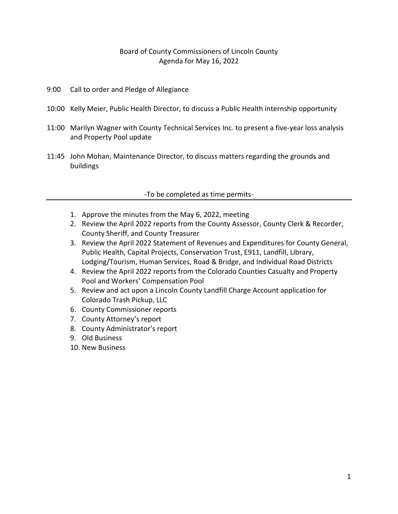## Board of County Commissioners of Lincoln County Agenda for May 16, 2022

- 9:00 Call to order and Pledge of Allegiance
- 10:00 Kelly Meier, Public Health Director, to discuss a Public Health internship opportunity
- 11:00 Marilyn Wagner with County Technical Services Inc. to present a five-year loss analysis and Property Pool update
- 11:45 John Mohan, Maintenance Director, to discuss matters regarding the grounds and buildings

## -To be completed as time permits-

- 1. Approve the minutes from the May 6, 2022, meeting
- 2. Review the April 2022 reports from the County Assessor, County Clerk & Recorder, County Sheriff, and County Treasurer
- 3. Review the April 2022 Statement of Revenues and Expenditures for County General, Public Health, Capital Projects, Conservation Trust, E911, Landfill, Library, Lodging/Tourism, Human Services, Road & Bridge, and Individual Road Districts
- 4. Review the April 2022 reports from the Colorado Counties Casualty and Property Pool and Workers' Compensation Pool
- 5. Review and act upon a Lincoln County Landfill Charge Account application for Colorado Trash Pickup, LLC
- 6. County Commissioner reports
- 7. County Attorney's report
- 8. County Administrator's report
- 9. Old Business
- 10. New Business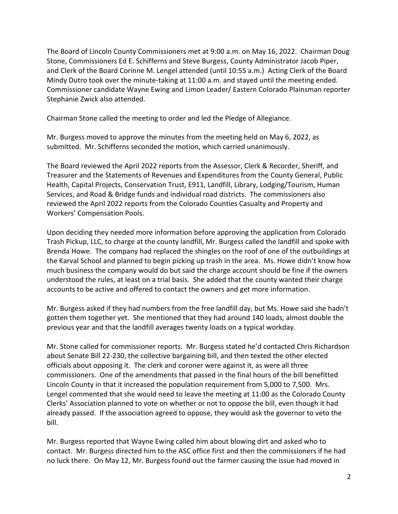The Board of Lincoln County Commissioners met at 9:00 a.m. on May 16, 2022. Chairman Doug Stone, Commissioners Ed E. Schifferns and Steve Burgess, County Administrator Jacob Piper, and Clerk of the Board Corinne M. Lengel attended (until 10:55 a.m.) Acting Clerk of the Board Mindy Dutro took over the minute-taking at 11:00 a.m. and stayed until the meeting ended. Commissioner candidate Wayne Ewing and Limon Leader/ Eastern Colorado Plainsman reporter Stephanie Zwick also attended.

Chairman Stone called the meeting to order and led the Pledge of Allegiance.

Mr. Burgess moved to approve the minutes from the meeting held on May 6, 2022, as submitted. Mr. Schifferns seconded the motion, which carried unanimously.

The Board reviewed the April 2022 reports from the Assessor, Clerk & Recorder, Sheriff, and Treasurer and the Statements of Revenues and Expenditures from the County General, Public Health, Capital Projects, Conservation Trust, E911, Landfill, Library, Lodging/Tourism, Human Services, and Road & Bridge funds and individual road districts. The commissioners also reviewed the April 2022 reports from the Colorado Counties Casualty and Property and Workers' Compensation Pools.

Upon deciding they needed more information before approving the application from Colorado Trash Pickup, LLC, to charge at the county landfill, Mr. Burgess called the landfill and spoke with Brenda Howe. The company had replaced the shingles on the roof of one of the outbuildings at the Karval School and planned to begin picking up trash in the area. Ms. Howe didn't know how much business the company would do but said the charge account should be fine if the owners understood the rules, at least on a trial basis. She added that the county wanted their charge accounts to be active and offered to contact the owners and get more information.

Mr. Burgess asked if they had numbers from the free landfill day, but Ms. Howe said she hadn't gotten them together yet. She mentioned that they had around 140 loads, almost double the previous year and that the landfill averages twenty loads on a typical workday.

Mr. Stone called for commissioner reports. Mr. Burgess stated he'd contacted Chris Richardson about Senate Bill 22-230, the collective bargaining bill, and then texted the other elected officials about opposing it. The clerk and coroner were against it, as were all three commissioners. One of the amendments that passed in the final hours of the bill benefitted Lincoln County in that it increased the population requirement from 5,000 to 7,500. Mrs. Lengel commented that she would need to leave the meeting at 11:00 as the Colorado County Clerks' Association planned to vote on whether or not to oppose the bill, even though it had already passed. If the association agreed to oppose, they would ask the governor to veto the bill.

Mr. Burgess reported that Wayne Ewing called him about blowing dirt and asked who to contact. Mr. Burgess directed him to the ASC office first and then the commissioners if he had no luck there. On May 12, Mr. Burgess found out the farmer causing the issue had moved in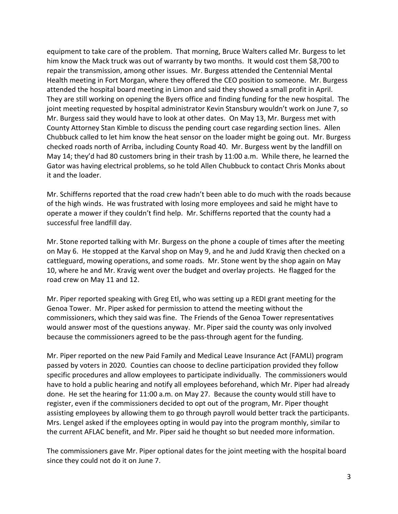equipment to take care of the problem. That morning, Bruce Walters called Mr. Burgess to let him know the Mack truck was out of warranty by two months. It would cost them \$8,700 to repair the transmission, among other issues. Mr. Burgess attended the Centennial Mental Health meeting in Fort Morgan, where they offered the CEO position to someone. Mr. Burgess attended the hospital board meeting in Limon and said they showed a small profit in April. They are still working on opening the Byers office and finding funding for the new hospital. The joint meeting requested by hospital administrator Kevin Stansbury wouldn't work on June 7, so Mr. Burgess said they would have to look at other dates. On May 13, Mr. Burgess met with County Attorney Stan Kimble to discuss the pending court case regarding section lines. Allen Chubbuck called to let him know the heat sensor on the loader might be going out. Mr. Burgess checked roads north of Arriba, including County Road 40. Mr. Burgess went by the landfill on May 14; they'd had 80 customers bring in their trash by 11:00 a.m. While there, he learned the Gator was having electrical problems, so he told Allen Chubbuck to contact Chris Monks about it and the loader.

Mr. Schifferns reported that the road crew hadn't been able to do much with the roads because of the high winds. He was frustrated with losing more employees and said he might have to operate a mower if they couldn't find help. Mr. Schifferns reported that the county had a successful free landfill day.

Mr. Stone reported talking with Mr. Burgess on the phone a couple of times after the meeting on May 6. He stopped at the Karval shop on May 9, and he and Judd Kravig then checked on a cattleguard, mowing operations, and some roads. Mr. Stone went by the shop again on May 10, where he and Mr. Kravig went over the budget and overlay projects. He flagged for the road crew on May 11 and 12.

Mr. Piper reported speaking with Greg Etl, who was setting up a REDI grant meeting for the Genoa Tower. Mr. Piper asked for permission to attend the meeting without the commissioners, which they said was fine. The Friends of the Genoa Tower representatives would answer most of the questions anyway. Mr. Piper said the county was only involved because the commissioners agreed to be the pass-through agent for the funding.

Mr. Piper reported on the new Paid Family and Medical Leave Insurance Act (FAMLI) program passed by voters in 2020. Counties can choose to decline participation provided they follow specific procedures and allow employees to participate individually. The commissioners would have to hold a public hearing and notify all employees beforehand, which Mr. Piper had already done. He set the hearing for 11:00 a.m. on May 27. Because the county would still have to register, even if the commissioners decided to opt out of the program, Mr. Piper thought assisting employees by allowing them to go through payroll would better track the participants. Mrs. Lengel asked if the employees opting in would pay into the program monthly, similar to the current AFLAC benefit, and Mr. Piper said he thought so but needed more information.

The commissioners gave Mr. Piper optional dates for the joint meeting with the hospital board since they could not do it on June 7.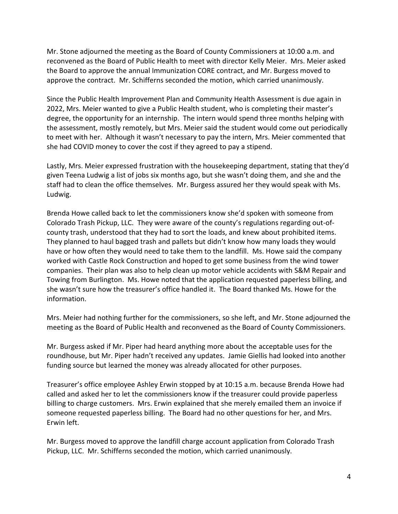Mr. Stone adjourned the meeting as the Board of County Commissioners at 10:00 a.m. and reconvened as the Board of Public Health to meet with director Kelly Meier. Mrs. Meier asked the Board to approve the annual Immunization CORE contract, and Mr. Burgess moved to approve the contract. Mr. Schifferns seconded the motion, which carried unanimously.

Since the Public Health Improvement Plan and Community Health Assessment is due again in 2022, Mrs. Meier wanted to give a Public Health student, who is completing their master's degree, the opportunity for an internship. The intern would spend three months helping with the assessment, mostly remotely, but Mrs. Meier said the student would come out periodically to meet with her. Although it wasn't necessary to pay the intern, Mrs. Meier commented that she had COVID money to cover the cost if they agreed to pay a stipend.

Lastly, Mrs. Meier expressed frustration with the housekeeping department, stating that they'd given Teena Ludwig a list of jobs six months ago, but she wasn't doing them, and she and the staff had to clean the office themselves. Mr. Burgess assured her they would speak with Ms. Ludwig.

Brenda Howe called back to let the commissioners know she'd spoken with someone from Colorado Trash Pickup, LLC. They were aware of the county's regulations regarding out-ofcounty trash, understood that they had to sort the loads, and knew about prohibited items. They planned to haul bagged trash and pallets but didn't know how many loads they would have or how often they would need to take them to the landfill. Ms. Howe said the company worked with Castle Rock Construction and hoped to get some business from the wind tower companies. Their plan was also to help clean up motor vehicle accidents with S&M Repair and Towing from Burlington. Ms. Howe noted that the application requested paperless billing, and she wasn't sure how the treasurer's office handled it. The Board thanked Ms. Howe for the information.

Mrs. Meier had nothing further for the commissioners, so she left, and Mr. Stone adjourned the meeting as the Board of Public Health and reconvened as the Board of County Commissioners.

Mr. Burgess asked if Mr. Piper had heard anything more about the acceptable uses for the roundhouse, but Mr. Piper hadn't received any updates. Jamie Giellis had looked into another funding source but learned the money was already allocated for other purposes.

Treasurer's office employee Ashley Erwin stopped by at 10:15 a.m. because Brenda Howe had called and asked her to let the commissioners know if the treasurer could provide paperless billing to charge customers. Mrs. Erwin explained that she merely emailed them an invoice if someone requested paperless billing. The Board had no other questions for her, and Mrs. Erwin left.

Mr. Burgess moved to approve the landfill charge account application from Colorado Trash Pickup, LLC. Mr. Schifferns seconded the motion, which carried unanimously.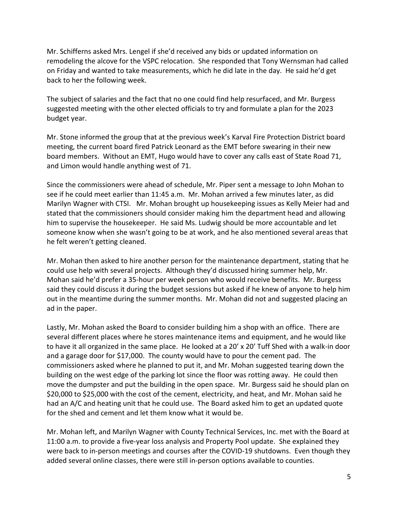Mr. Schifferns asked Mrs. Lengel if she'd received any bids or updated information on remodeling the alcove for the VSPC relocation. She responded that Tony Wernsman had called on Friday and wanted to take measurements, which he did late in the day. He said he'd get back to her the following week.

The subject of salaries and the fact that no one could find help resurfaced, and Mr. Burgess suggested meeting with the other elected officials to try and formulate a plan for the 2023 budget year.

Mr. Stone informed the group that at the previous week's Karval Fire Protection District board meeting, the current board fired Patrick Leonard as the EMT before swearing in their new board members. Without an EMT, Hugo would have to cover any calls east of State Road 71, and Limon would handle anything west of 71.

Since the commissioners were ahead of schedule, Mr. Piper sent a message to John Mohan to see if he could meet earlier than 11:45 a.m. Mr. Mohan arrived a few minutes later, as did Marilyn Wagner with CTSI. Mr. Mohan brought up housekeeping issues as Kelly Meier had and stated that the commissioners should consider making him the department head and allowing him to supervise the housekeeper. He said Ms. Ludwig should be more accountable and let someone know when she wasn't going to be at work, and he also mentioned several areas that he felt weren't getting cleaned.

Mr. Mohan then asked to hire another person for the maintenance department, stating that he could use help with several projects. Although they'd discussed hiring summer help, Mr. Mohan said he'd prefer a 35-hour per week person who would receive benefits. Mr. Burgess said they could discuss it during the budget sessions but asked if he knew of anyone to help him out in the meantime during the summer months. Mr. Mohan did not and suggested placing an ad in the paper.

Lastly, Mr. Mohan asked the Board to consider building him a shop with an office. There are several different places where he stores maintenance items and equipment, and he would like to have it all organized in the same place. He looked at a 20' x 20' Tuff Shed with a walk-in door and a garage door for \$17,000. The county would have to pour the cement pad. The commissioners asked where he planned to put it, and Mr. Mohan suggested tearing down the building on the west edge of the parking lot since the floor was rotting away. He could then move the dumpster and put the building in the open space. Mr. Burgess said he should plan on \$20,000 to \$25,000 with the cost of the cement, electricity, and heat, and Mr. Mohan said he had an A/C and heating unit that he could use. The Board asked him to get an updated quote for the shed and cement and let them know what it would be.

Mr. Mohan left, and Marilyn Wagner with County Technical Services, Inc. met with the Board at 11:00 a.m. to provide a five-year loss analysis and Property Pool update. She explained they were back to in-person meetings and courses after the COVID-19 shutdowns. Even though they added several online classes, there were still in-person options available to counties.